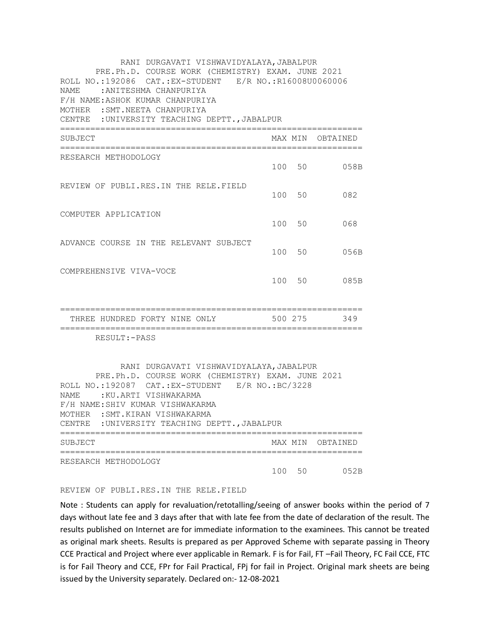| RANI DURGAVATI VISHWAVIDYALAYA, JABALPUR<br>PRE.Ph.D. COURSE WORK (CHEMISTRY) EXAM. JUNE 2021<br>ROLL NO.:192086 CAT.: EX-STUDENT E/R NO.: R16008U0060006<br>NAME<br>:ANITESHMA CHANPURIYA<br>F/H NAME: ASHOK KUMAR CHANPURIYA<br>MOTHER : SMT. NEETA CHANPURIYA<br>CENTRE : UNIVERSITY TEACHING DEPTT., JABALPUR          |         |         |                  |
|----------------------------------------------------------------------------------------------------------------------------------------------------------------------------------------------------------------------------------------------------------------------------------------------------------------------------|---------|---------|------------------|
| SUBJECT                                                                                                                                                                                                                                                                                                                    |         |         | MAX MIN OBTAINED |
| RESEARCH METHODOLOGY                                                                                                                                                                                                                                                                                                       |         |         | 100 50 058B      |
| REVIEW OF PUBLI.RES.IN THE RELE.FIELD                                                                                                                                                                                                                                                                                      |         | 100 50  | 082              |
| COMPUTER APPLICATION                                                                                                                                                                                                                                                                                                       |         | 100 50  | 068              |
| ADVANCE COURSE IN THE RELEVANT SUBJECT                                                                                                                                                                                                                                                                                     |         | 100 50  | 056B             |
| COMPREHENSIVE VIVA-VOCE                                                                                                                                                                                                                                                                                                    |         | 100 50  | 085B             |
| THREE HUNDRED FORTY NINE ONLY<br>=========================                                                                                                                                                                                                                                                                 | 500 275 |         | 349              |
| RESULT:-PASS<br>RANI DURGAVATI VISHWAVIDYALAYA, JABALPUR<br>PRE.Ph.D. COURSE WORK (CHEMISTRY) EXAM. JUNE 2021<br>ROLL NO.:192087 CAT.:EX-STUDENT E/R NO.:BC/3228<br>NAME: : KU.ARTI VISHWAKARMA<br>F/H NAME: SHIV KUMAR VISHWAKARMA<br>MOTHER : SMT. KIRAN VISHWAKARMA<br>: UNIVERSITY TEACHING DEPTT., JABALPUR<br>CENTRE |         |         |                  |
| SUBJECT                                                                                                                                                                                                                                                                                                                    |         | MAX MIN | OBTAINED         |
| RESEARCH METHODOLOGY                                                                                                                                                                                                                                                                                                       | 100     | 50      | 052B             |

## REVIEW OF PUBLI.RES.IN THE RELE.FIELD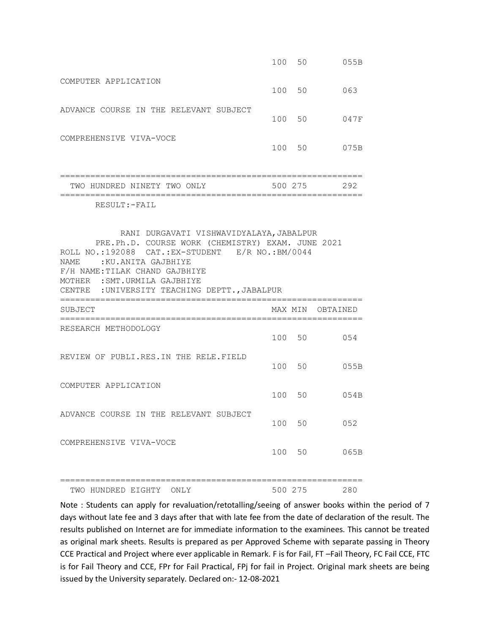|                                                                                                                                                                                                                                                                                        |     | 100 50  | 055B             |
|----------------------------------------------------------------------------------------------------------------------------------------------------------------------------------------------------------------------------------------------------------------------------------------|-----|---------|------------------|
| COMPUTER APPLICATION                                                                                                                                                                                                                                                                   |     | 100 50  | 063              |
| ADVANCE COURSE IN THE RELEVANT SUBJECT                                                                                                                                                                                                                                                 |     | 100 50  | 047F             |
| COMPREHENSIVE VIVA-VOCE                                                                                                                                                                                                                                                                |     | 100 50  | 075B             |
| :==============<br>TWO HUNDRED NINETY TWO ONLY                                                                                                                                                                                                                                         |     | 500 275 | 292              |
| RESULT: - FAIL                                                                                                                                                                                                                                                                         |     |         |                  |
| PRE.Ph.D. COURSE WORK (CHEMISTRY) EXAM. JUNE 2021<br>ROLL NO.: 192088 CAT.: EX-STUDENT E/R NO.: BM/0044<br>NAME<br>:KU.ANITA GAJBHIYE<br>F/H NAME: TILAK CHAND GAJBHIYE<br>MOTHER : SMT. URMILA GAJBHIYE<br>CENTRE : UNIVERSITY TEACHING DEPTT., JABALPUR<br>:=============<br>SUBJECT |     |         | MAX MIN OBTAINED |
|                                                                                                                                                                                                                                                                                        |     |         |                  |
| RESEARCH METHODOLOGY                                                                                                                                                                                                                                                                   |     |         | 100 50 054       |
| REVIEW OF PUBLI.RES.IN THE RELE.FIELD                                                                                                                                                                                                                                                  |     | 100 50  | 055B             |
| COMPUTER APPLICATION                                                                                                                                                                                                                                                                   |     | 100 50  | 054B             |
| ADVANCE COURSE IN THE RELEVANT SUBJECT                                                                                                                                                                                                                                                 | 100 | 50      | 052              |
|                                                                                                                                                                                                                                                                                        |     |         |                  |
| COMPREHENSIVE VIVA-VOCE                                                                                                                                                                                                                                                                | 100 | 50      | 065B             |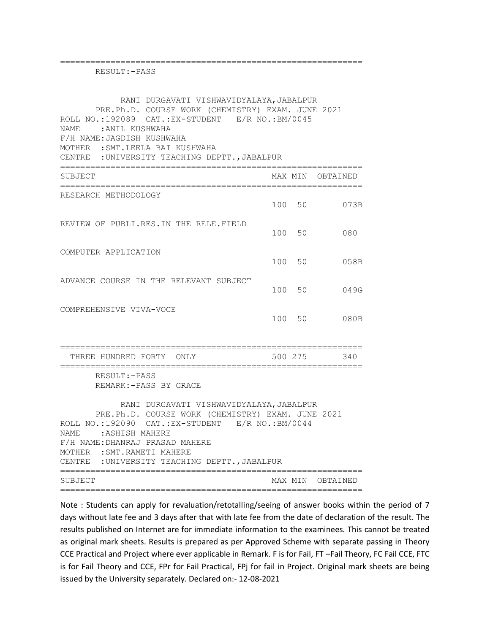| RESULT: - PASS                                                                                                                                                                                                                                                                                                                         |        |        |                  |
|----------------------------------------------------------------------------------------------------------------------------------------------------------------------------------------------------------------------------------------------------------------------------------------------------------------------------------------|--------|--------|------------------|
| RANI DURGAVATI VISHWAVIDYALAYA, JABALPUR<br>PRE.Ph.D. COURSE WORK (CHEMISTRY) EXAM. JUNE 2021<br>ROLL NO.:192089 CAT.:EX-STUDENT E/R NO.:BM/0045<br>NAME: ANIL KUSHWAHA<br>F/H NAME: JAGDISH KUSHWAHA<br>MOTHER : SMT.LEELA BAI KUSHWAHA<br>CENTRE : UNIVERSITY TEACHING DEPTT., JABALPUR                                              |        |        |                  |
| SUBJECT                                                                                                                                                                                                                                                                                                                                |        |        | MAX MIN OBTAINED |
| ;============================<br>RESEARCH METHODOLOGY                                                                                                                                                                                                                                                                                  |        |        | 100 50 073B      |
| REVIEW OF PUBLI.RES.IN THE RELE.FIELD                                                                                                                                                                                                                                                                                                  |        | 100 50 | 080              |
| COMPUTER APPLICATION                                                                                                                                                                                                                                                                                                                   | 100 50 |        | 058B             |
| ADVANCE COURSE IN THE RELEVANT SUBJECT                                                                                                                                                                                                                                                                                                 | 100 50 |        | 049G             |
| COMPREHENSIVE VIVA-VOCE                                                                                                                                                                                                                                                                                                                |        | 100 50 | 080B             |
| THREE HUNDRED FORTY ONLY                                                                                                                                                                                                                                                                                                               |        |        | 500 275<br>340   |
| RESULT:-PASS<br>REMARK: - PASS BY GRACE<br>RANI DURGAVATI VISHWAVIDYALAYA, JABALPUR<br>PRE.Ph.D. COURSE WORK (CHEMISTRY) EXAM. JUNE 2021<br>ROLL NO.:192090 CAT.:EX-STUDENT E/R NO.:BM/0044<br>NAME : ASHISH MAHERE<br>F/H NAME: DHANRAJ PRASAD MAHERE<br>MOTHER : SMT. RAMETI MAHERE<br>CENTRE : UNIVERSITY TEACHING DEPTT., JABALPUR |        |        |                  |
| SUBJECT                                                                                                                                                                                                                                                                                                                                |        |        | MAX MIN OBTAINED |

============================================================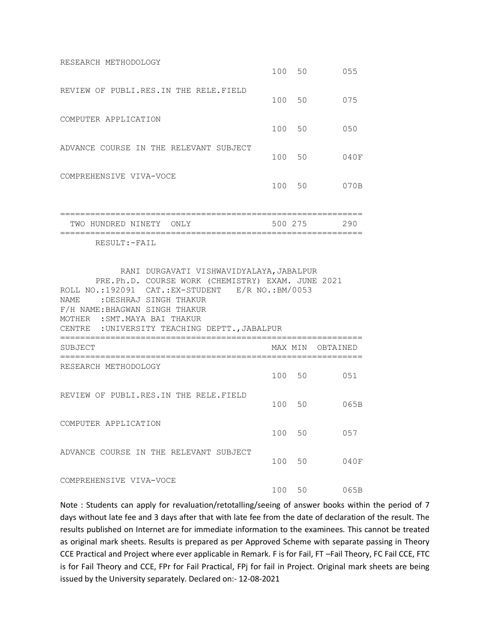| RESEARCH METHODOLOGY                   | 100 50 |    | 055  |
|----------------------------------------|--------|----|------|
| REVIEW OF PUBLI.RES.IN THE RELE.FIELD  | 100 50 |    | 075  |
| COMPUTER APPLICATION                   | 100 50 |    | 050  |
| ADVANCE COURSE IN THE RELEVANT SUBJECT | 100 50 |    | 040F |
| COMPREHENSIVE VIVA-VOCE                | 100    | 50 | 070B |

| TWO HUNDRED NINETY ONLY |  | 500 275 | 290 |
|-------------------------|--|---------|-----|
|                         |  |         |     |

RESULT:-FAIL

| RANI DURGAVATI VISHWAVIDYALAYA, JABALPUR<br>PRE.Ph.D. COURSE WORK (CHEMISTRY) EXAM. JUNE 2021<br>ROLL NO.:192091 CAT.:EX-STUDENT E/R NO.:BM/0053<br>NAME : DESHRAJ SINGH THAKUR<br>F/H NAME: BHAGWAN SINGH THAKUR<br>MOTHER : SMT. MAYA BAI THAKUR<br>CENTRE : UNIVERSITY TEACHING DEPTT., JABALPUR |         |                |
|-----------------------------------------------------------------------------------------------------------------------------------------------------------------------------------------------------------------------------------------------------------------------------------------------------|---------|----------------|
| SUBJECT                                                                                                                                                                                                                                                                                             | MAX MIN | OBTAINED       |
| RESEARCH METHODOLOGY                                                                                                                                                                                                                                                                                | 100 50  | 051            |
| REVIEW OF PUBLI.RES.IN THE RELE.FIELD                                                                                                                                                                                                                                                               | 100 50  | 065B           |
| COMPUTER APPLICATION                                                                                                                                                                                                                                                                                | 100 50  | 057            |
| ADVANCE COURSE IN THE RELEVANT SUBJECT                                                                                                                                                                                                                                                              | 100 50  | 040日           |
| COMPREHENSIVE VIVA-VOCE                                                                                                                                                                                                                                                                             |         | 100 50<br>065B |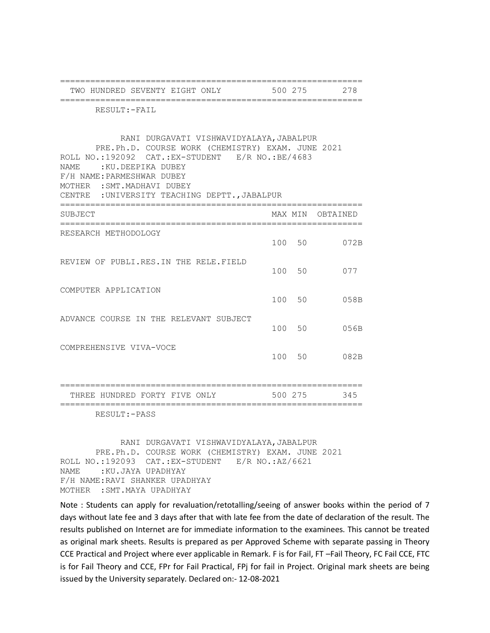| TWO HUNDRED SEVENTY EIGHT ONLY                                                                                                                                                                                                                                                                                                             |     | 500 275 | 278      |
|--------------------------------------------------------------------------------------------------------------------------------------------------------------------------------------------------------------------------------------------------------------------------------------------------------------------------------------------|-----|---------|----------|
| RESULT: - FAIL                                                                                                                                                                                                                                                                                                                             |     |         |          |
| RANI DURGAVATI VISHWAVIDYALAYA, JABALPUR<br>PRE.Ph.D. COURSE WORK (CHEMISTRY) EXAM. JUNE 2021<br>ROLL NO.: 192092 CAT.: EX-STUDENT E/R NO.: BE/4683<br>NAME<br>:KU.DEEPIKA DUBEY<br>F/H NAME: PARMESHWAR DUBEY<br>MOTHER : SMT. MADHAVI DUBEY<br>CENTRE : UNIVERSITY TEACHING DEPTT., JABALPUR<br>============<br>======================== |     |         |          |
| SUBJECT<br>===============================                                                                                                                                                                                                                                                                                                 |     | MAX MIN | OBTAINED |
| RESEARCH METHODOLOGY                                                                                                                                                                                                                                                                                                                       |     | 100 50  | 072B     |
| REVIEW OF PUBLI.RES.IN THE RELE.FIELD                                                                                                                                                                                                                                                                                                      |     | 100 50  | 077      |
| COMPUTER APPLICATION                                                                                                                                                                                                                                                                                                                       |     | 100 50  | 058B     |
| ADVANCE COURSE IN THE RELEVANT SUBJECT                                                                                                                                                                                                                                                                                                     |     | 100 50  | 056B     |
| COMPREHENSIVE VIVA-VOCE                                                                                                                                                                                                                                                                                                                    | 100 | 50      | 082B     |
| ========================<br>THREE HUNDRED FORTY FIVE ONLY                                                                                                                                                                                                                                                                                  |     | 500 275 | 345      |
| RESULT: - PASS                                                                                                                                                                                                                                                                                                                             |     |         |          |
| RANI DURGAVATI VISHWAVIDYALAYA, JABALPUR                                                                                                                                                                                                                                                                                                   |     |         |          |

 PRE.Ph.D. COURSE WORK (CHEMISTRY) EXAM. JUNE 2021 ROLL NO.:192093 CAT.:EX-STUDENT E/R NO.:AZ/6621 NAME :KU.JAYA UPADHYAY F/H NAME:RAVI SHANKER UPADHYAY MOTHER :SMT.MAYA UPADHYAY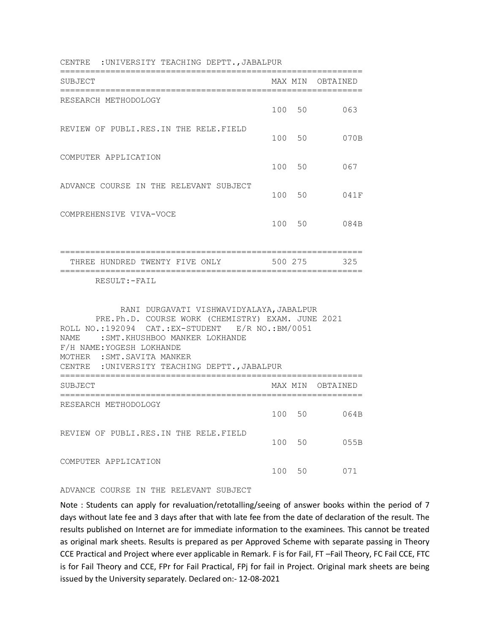| SUBJECT                                                                                                                                                                                                                                                                                                  |     | MAX MIN | OBTAINED         |
|----------------------------------------------------------------------------------------------------------------------------------------------------------------------------------------------------------------------------------------------------------------------------------------------------------|-----|---------|------------------|
| RESEARCH METHODOLOGY                                                                                                                                                                                                                                                                                     |     | 100 50  | 063              |
| REVIEW OF PUBLI.RES.IN THE RELE.FIELD                                                                                                                                                                                                                                                                    |     | 100 50  | 070B             |
| COMPUTER APPLICATION                                                                                                                                                                                                                                                                                     |     | 100 50  | 067              |
| ADVANCE COURSE IN THE RELEVANT SUBJECT                                                                                                                                                                                                                                                                   |     | 100 50  | 041F             |
| COMPREHENSIVE VIVA-VOCE                                                                                                                                                                                                                                                                                  |     | 100 50  | 084B             |
| THREE HUNDRED TWENTY FIVE ONLY<br>RESULT:-FAIL                                                                                                                                                                                                                                                           |     | 500 275 | 325              |
| RANI DURGAVATI VISHWAVIDYALAYA, JABALPUR<br>PRE.Ph.D. COURSE WORK (CHEMISTRY) EXAM. JUNE 2021<br>ROLL NO.:192094 CAT.:EX-STUDENT E/R NO.:BM/0051<br>: SMT. KHUSHBOO MANKER LOKHANDE<br>NAME<br>F/H NAME: YOGESH LOKHANDE<br>MOTHER : SMT. SAVITA MANKER<br>CENTRE : UNIVERSITY TEACHING DEPTT., JABALPUR |     |         |                  |
| SUBJECT                                                                                                                                                                                                                                                                                                  |     |         | MAX MIN OBTAINED |
| RESEARCH METHODOLOGY                                                                                                                                                                                                                                                                                     | 100 | 50      | 064B             |
| REVIEW OF PUBLI.RES. IN THE RELE.FIELD                                                                                                                                                                                                                                                                   |     |         |                  |

CENTRE :UNIVERSITY TEACHING DEPTT.,JABALPUR

## ADVANCE COURSE IN THE RELEVANT SUBJECT

COMPUTER APPLICATION

Note : Students can apply for revaluation/retotalling/seeing of answer books within the period of 7 days without late fee and 3 days after that with late fee from the date of declaration of the result. The results published on Internet are for immediate information to the examinees. This cannot be treated as original mark sheets. Results is prepared as per Approved Scheme with separate passing in Theory CCE Practical and Project where ever applicable in Remark. F is for Fail, FT –Fail Theory, FC Fail CCE, FTC is for Fail Theory and CCE, FPr for Fail Practical, FPj for fail in Project. Original mark sheets are being issued by the University separately. Declared on:- 12-08-2021

100 50 055B

100 50 071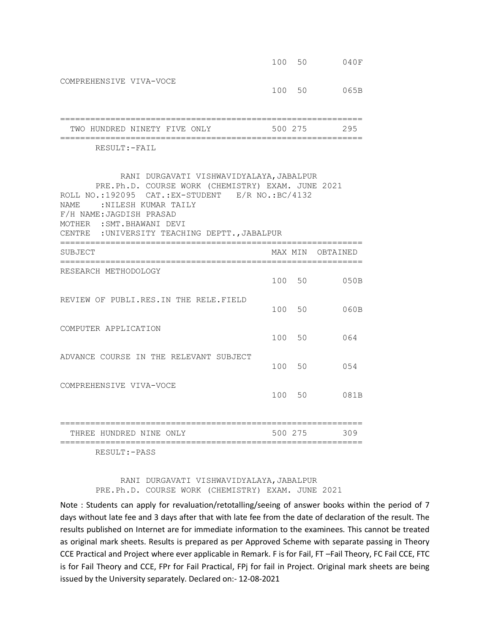|                                                                                                                                                                                                                                                                                         |     | 100 50  | 040F     |
|-----------------------------------------------------------------------------------------------------------------------------------------------------------------------------------------------------------------------------------------------------------------------------------------|-----|---------|----------|
| COMPREHENSIVE VIVA-VOCE                                                                                                                                                                                                                                                                 |     | 100 50  | 065B     |
| TWO HUNDRED NINETY FIVE ONLY                                                                                                                                                                                                                                                            |     | 500 275 | 295      |
| RESULT:-FAIL                                                                                                                                                                                                                                                                            |     |         | ======== |
| RANI DURGAVATI VISHWAVIDYALAYA, JABALPUR<br>PRE.Ph.D. COURSE WORK (CHEMISTRY) EXAM. JUNE 2021<br>ROLL NO.:192095 CAT.:EX-STUDENT E/R NO.:BC/4132<br>NAME: NILESH KUMAR TAILY<br>F/H NAME: JAGDISH PRASAD<br>MOTHER : SMT. BHAWANI DEVI<br>CENTRE : UNIVERSITY TEACHING DEPTT., JABALPUR |     |         |          |
| SUBJECT                                                                                                                                                                                                                                                                                 |     | MAX MIN | OBTAINED |
| ============================<br>RESEARCH METHODOLOGY                                                                                                                                                                                                                                    |     | 100 50  | 050B     |
| REVIEW OF PUBLI.RES. IN THE RELE.FIELD                                                                                                                                                                                                                                                  | 100 | 50      | 060B     |
| COMPUTER APPLICATION                                                                                                                                                                                                                                                                    |     | 100 50  | 064      |
| ADVANCE COURSE IN THE RELEVANT SUBJECT                                                                                                                                                                                                                                                  |     | 100 50  | 0.54     |
| COMPREHENSIVE VIVA-VOCE                                                                                                                                                                                                                                                                 |     | 100 50  | 081B     |
| THREE HUNDRED NINE ONLY                                                                                                                                                                                                                                                                 |     | 500 275 | 309      |

RESULT:-PASS

RANI DURGAVATI VISHWAVIDYALAYA, JABALPUR PRE.Ph.D. COURSE WORK (CHEMISTRY) EXAM. JUNE 2021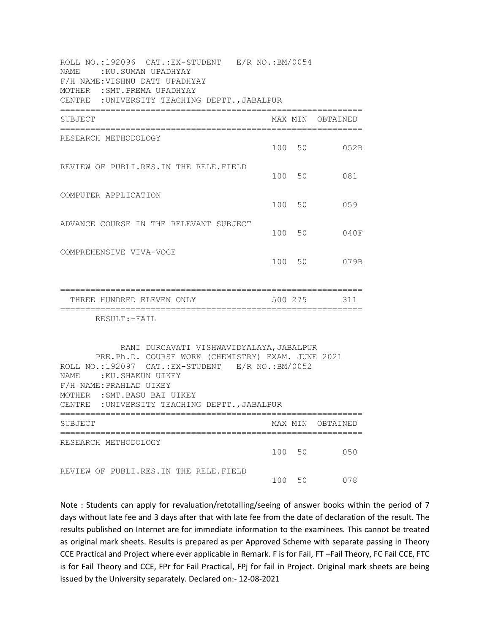| ROLL NO.:192096 CAT.:EX-STUDENT E/R NO.:BM/0054<br>NAME: : KU.SUMAN UPADHYAY<br>F/H NAME: VISHNU DATT UPADHYAY<br>MOTHER : SMT. PREMA UPADHYAY<br>CENTRE : UNIVERSITY TEACHING DEPTT., JABALPUR<br>============                                                                            |         |         |                  |
|--------------------------------------------------------------------------------------------------------------------------------------------------------------------------------------------------------------------------------------------------------------------------------------------|---------|---------|------------------|
| SUBJECT                                                                                                                                                                                                                                                                                    |         |         | MAX MIN OBTAINED |
| RESEARCH METHODOLOGY                                                                                                                                                                                                                                                                       |         | 100 50  | 052B             |
| REVIEW OF PUBLI.RES.IN THE RELE.FIELD                                                                                                                                                                                                                                                      |         | 100 50  | 081              |
| COMPUTER APPLICATION                                                                                                                                                                                                                                                                       |         | 100 50  | 059              |
| ADVANCE COURSE IN THE RELEVANT SUBJECT                                                                                                                                                                                                                                                     |         | 100 50  | 040F             |
| COMPREHENSIVE VIVA-VOCE                                                                                                                                                                                                                                                                    |         | 100 50  | 079B             |
| THREE HUNDRED ELEVEN ONLY                                                                                                                                                                                                                                                                  | 500 275 |         | 311              |
| RESULT:-FAIL                                                                                                                                                                                                                                                                               |         |         |                  |
| RANI DURGAVATI VISHWAVIDYALAYA, JABALPUR<br>PRE.Ph.D. COURSE WORK (CHEMISTRY) EXAM. JUNE 2021<br>ROLL NO.: 192097 CAT.: EX-STUDENT E/R NO.: BM/0052<br>NAME: : KU.SHAKUN UIKEY<br>F/H NAME: PRAHLAD UIKEY<br>MOTHER : SMT. BASU BAI UIKEY<br>CENTRE : UNIVERSITY TEACHING DEPTT., JABALPUR |         |         |                  |
| SUBJECT                                                                                                                                                                                                                                                                                    |         | MAX MIN | OBTAINED         |
| RESEARCH METHODOLOGY                                                                                                                                                                                                                                                                       | 100     | 50      | 050              |
| REVIEW OF PUBLI.RES.IN THE RELE.FIELD                                                                                                                                                                                                                                                      | 100     | 50      | 078              |